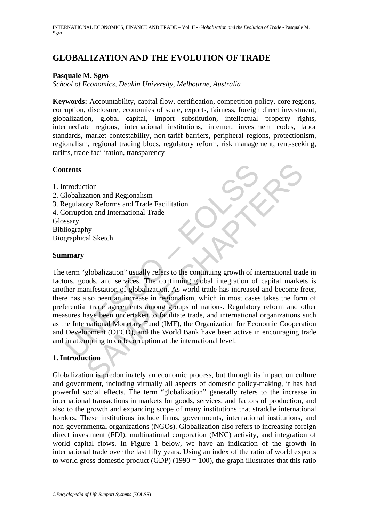# **GLOBALIZATION AND THE EVOLUTION OF TRADE**

### **Pasquale M. Sgro**

*School of Economics, Deakin University, Melbourne, Australia* 

**Keywords:** Accountability, capital flow, certification, competition policy, core regions, corruption, disclosure, economies of scale, exports, fairness, foreign direct investment, globalization, global capital, import substitution, intellectual property rights, intermediate regions, international institutions, internet, investment codes, labor standards, market contestability, non-tariff barriers, peripheral regions, protectionism, regionalism, regional trading blocs, regulatory reform, risk management, rent-seeking, tariffs, trade facilitation, transparency

### **Contents**

- 1. Introduction
- 2. Globalization and Regionalism
- 3. Regulatory Reforms and Trade Facilitation
- 4. Corruption and International Trade

Glossary

Bibliography

Biographical Sketch

#### **Summary**

**Example 18**<br>
Introduction<br>
Introduction<br>
and Regionalism<br>
egulatory Reforms and Trade Facilitation<br>
orruption and International Trade<br>
stary<br>
stary<br>
iography<br>
graphical Sketch<br> **anary**<br>
term "globalization" usually refers The main of Regionalism<br>
The Accord Chapter and Trade Eacilitation<br>
Any Neforms and Trade Facilitation<br>
Any<br>
Any Reforms and Trade Facilitation<br>
Any<br>
Any al Sketch<br>
Any al Sketch<br>
Any al Sketch<br>
Sample and the continuing g The term "globalization" usually refers to the continuing growth of international trade in factors, goods, and services. The continuing global integration of capital markets is another manifestation of globalization. As world trade has increased and become freer, there has also been an increase in regionalism, which in most cases takes the form of preferential trade agreements among groups of nations. Regulatory reform and other measures have been undertaken to facilitate trade, and international organizations such as the International Monetary Fund (IMF), the Organization for Economic Cooperation and Development (OECD), and the World Bank have been active in encouraging trade and in attempting to curb corruption at the international level.

## **1. Introduction**

Globalization is predominately an economic process, but through its impact on culture and government, including virtually all aspects of domestic policy-making, it has had powerful social effects. The term "globalization" generally refers to the increase in international transactions in markets for goods, services, and factors of production, and also to the growth and expanding scope of many institutions that straddle international borders. These institutions include firms, governments, international institutions, and non-governmental organizations (NGOs). Globalization also refers to increasing foreign direct investment (FDI), multinational corporation (MNC) activity, and integration of world capital flows. In Figure 1 below, we have an indication of the growth in international trade over the last fifty years. Using an index of the ratio of world exports to world gross domestic product (GDP) (1990 = 100), the graph illustrates that this ratio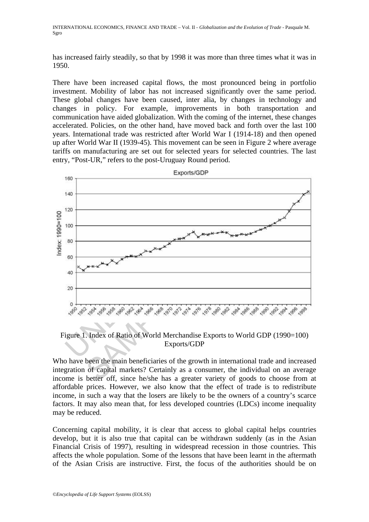has increased fairly steadily, so that by 1998 it was more than three times what it was in 1950.

There have been increased capital flows, the most pronounced being in portfolio investment. Mobility of labor has not increased significantly over the same period. These global changes have been caused, inter alia, by changes in technology and changes in policy. For example, improvements in both transportation and communication have aided globalization. With the coming of the internet, these changes accelerated. Policies, on the other hand, have moved back and forth over the last 100 years. International trade was restricted after World War I (1914-18) and then opened up after World War II (1939-45). This movement can be seen in Figure 2 where average tariffs on manufacturing are set out for selected years for selected countries. The last entry, "Post-UR," refers to the post-Uruguay Round period.



Figure 1. Index of Ratio of World Merchandise Exports to World GDP (1990=100) Exports/GDP

Who have been the main beneficiaries of the growth in international trade and increased integration of capital markets? Certainly as a consumer, the individual on an average income is better off, since he/she has a greater variety of goods to choose from at affordable prices. However, we also know that the effect of trade is to redistribute income, in such a way that the losers are likely to be the owners of a country's scarce factors. It may also mean that, for less developed countries (LDCs) income inequality may be reduced.

Concerning capital mobility, it is clear that access to global capital helps countries develop, but it is also true that capital can be withdrawn suddenly (as in the Asian Financial Crisis of 1997), resulting in widespread recession in those countries. This affects the whole population. Some of the lessons that have been learnt in the aftermath of the Asian Crisis are instructive. First, the focus of the authorities should be on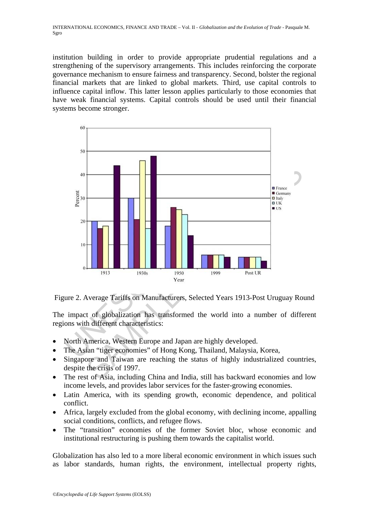institution building in order to provide appropriate prudential regulations and a strengthening of the supervisory arrangements. This includes reinforcing the corporate governance mechanism to ensure fairness and transparency. Second, bolster the regional financial markets that are linked to global markets. Third, use capital controls to influence capital inflow. This latter lesson applies particularly to those economies that have weak financial systems. Capital controls should be used until their financial systems become stronger.



Figure 2. Average Tariffs on Manufacturers, Selected Years 1913-Post Uruguay Round

The impact of globalization has transformed the world into a number of different regions with different characteristics:

- North America, Western Europe and Japan are highly developed.
- The Asian "tiger economies" of Hong Kong, Thailand, Malaysia, Korea,
- Singapore and Taiwan are reaching the status of highly industrialized countries, despite the crisis of 1997.
- The rest of Asia, including China and India, still has backward economies and low income levels, and provides labor services for the faster-growing economies.
- Latin America, with its spending growth, economic dependence, and political conflict.
- Africa, largely excluded from the global economy, with declining income, appalling social conditions, conflicts, and refugee flows.
- The "transition" economies of the former Soviet bloc, whose economic and institutional restructuring is pushing them towards the capitalist world.

Globalization has also led to a more liberal economic environment in which issues such as labor standards, human rights, the environment, intellectual property rights,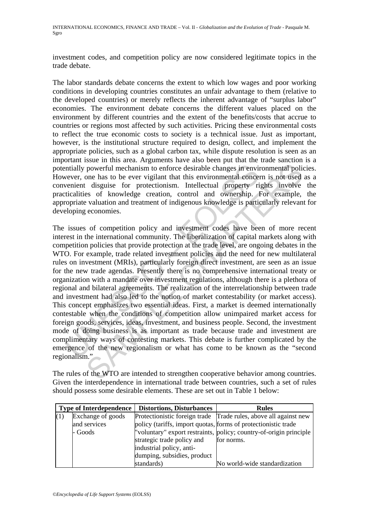investment codes, and competition policy are now considered legitimate topics in the trade debate.

The labor standards debate concerns the extent to which low wages and poor working conditions in developing countries constitutes an unfair advantage to them (relative to the developed countries) or merely reflects the inherent advantage of "surplus labor" economies. The environment debate concerns the different values placed on the environment by different countries and the extent of the benefits/costs that accrue to countries or regions most affected by such activities. Pricing these environmental costs to reflect the true economic costs to society is a technical issue. Just as important, however, is the institutional structure required to design, collect, and implement the appropriate policies, such as a global carbon tax, while dispute resolution is seen as an important issue in this area. Arguments have also been put that the trade sanction is a potentially powerful mechanism to enforce desirable changes in environmental policies. However, one has to be ever vigilant that this environmental concern is not used as a convenient disguise for protectionism. Intellectual property rights involve the practicalities of knowledge creation, control and ownership. For example, the appropriate valuation and treatment of indigenous knowledge is particularly relevant for developing economies.

expectively proverful mechanism to enforce desirable changes in envirative wever, one has to be ever vigilant that this environmental concervenient disguise for protectionism. Intellectual property riticalities of knowledg powerful mechanism to enforce desirable changes in environmental polione has to be ever vigilant that this environmental concern is not used<br>disguise for protectonism. Intellectual property rights involve<br>ess of knowledge The issues of competition policy and investment codes have been of more recent interest in the international community. The liberalization of capital markets along with competition policies that provide protection at the trade level, are ongoing debates in the WTO. For example, trade related investment policies and the need for new multilateral rules on investment (MRIs), particularly foreign direct investment, are seen as an issue for the new trade agendas. Presently there is no comprehensive international treaty or organization with a mandate over investment regulations, although there is a plethora of regional and bilateral agreements. The realization of the interrelationship between trade and investment had also led to the notion of market contestability (or market access). This concept emphasizes two essential ideas. First, a market is deemed internationally contestable when the conditions of competition allow unimpaired market access for foreign goods, services, ideas, investment, and business people. Second, the investment mode of doing business is as important as trade because trade and investment are complimentary ways of contesting markets. This debate is further complicated by the emergence of the new regionalism or what has come to be known as the "second regionalism."

The rules of the WTO are intended to strengthen cooperative behavior among countries. Given the interdependence in international trade between countries, such a set of rules should possess some desirable elements. These are set out in Table 1 below:

| <b>Type of Interdependence</b> |                   | <b>Distortions, Disturbances</b>                               | <b>Rules</b>                                                       |
|--------------------------------|-------------------|----------------------------------------------------------------|--------------------------------------------------------------------|
| (1)                            | Exchange of goods |                                                                | Protectionistic foreign trade Trade rules, above all against new   |
|                                | and services      | policy (tariffs, import quotas, forms of protectionistic trade |                                                                    |
|                                | - Goods           |                                                                | "voluntary" export restraints, policy; country-of-origin principle |
|                                |                   | strategic trade policy and                                     | for norms.                                                         |
|                                |                   | industrial policy, anti-                                       |                                                                    |
|                                |                   | dumping, subsidies, product                                    |                                                                    |
|                                |                   | standards)                                                     | No world-wide standardization                                      |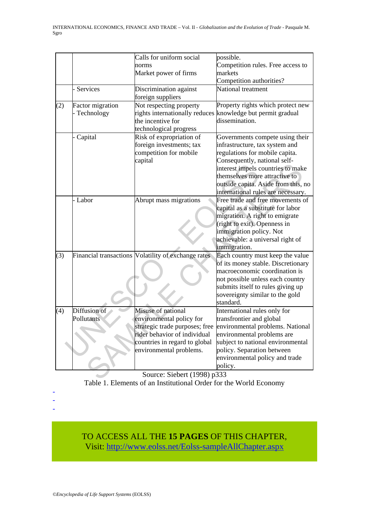|     |                         | Calls for uniform social                            | possible.                                                           |  |  |
|-----|-------------------------|-----------------------------------------------------|---------------------------------------------------------------------|--|--|
|     |                         | norms                                               | Competition rules. Free access to                                   |  |  |
|     |                         | Market power of firms                               | markets                                                             |  |  |
|     |                         |                                                     | Competition authorities?                                            |  |  |
|     | Services                | Discrimination against                              | National treatment                                                  |  |  |
|     |                         | foreign suppliers                                   |                                                                     |  |  |
| (2) | <b>Factor</b> migration | Not respecting property                             | Property rights which protect new                                   |  |  |
|     | Technology              | rights internationally reduces                      | knowledge but permit gradual                                        |  |  |
|     |                         | the incentive for                                   | dissemination.                                                      |  |  |
|     |                         | technological progress                              |                                                                     |  |  |
|     | Capital                 | Risk of expropriation of                            | Governments compete using their                                     |  |  |
|     |                         | foreign investments; tax                            | infrastructure, tax system and                                      |  |  |
|     |                         | competition for mobile                              | regulations for mobile capita.                                      |  |  |
|     |                         | capital                                             | Consequently, national self-                                        |  |  |
|     |                         |                                                     | interest impels countries to make                                   |  |  |
|     |                         |                                                     | themselves more attractive to                                       |  |  |
|     |                         |                                                     | outside capita. Aside from this, no                                 |  |  |
|     |                         |                                                     | international rules are necessary.                                  |  |  |
|     | - Labor                 | Abrupt mass migrations                              | Free trade and free movements of                                    |  |  |
|     |                         |                                                     | capital as a substitute for labor                                   |  |  |
|     |                         |                                                     | migration. A right to emigrate                                      |  |  |
|     |                         |                                                     | (right to exit). Openness in                                        |  |  |
|     |                         |                                                     | immigration policy. Not                                             |  |  |
|     |                         |                                                     | achievable: a universal right of                                    |  |  |
|     |                         |                                                     | immigration.                                                        |  |  |
| (3) |                         | Financial transactions Volatility of exchange rates | Each country must keep the value                                    |  |  |
|     |                         |                                                     | of its money stable. Discretionary<br>macroeconomic coordination is |  |  |
|     |                         |                                                     |                                                                     |  |  |
|     |                         |                                                     | not possible unless each country                                    |  |  |
|     |                         |                                                     | submits itself to rules giving up                                   |  |  |
|     |                         |                                                     | sovereignty similar to the gold<br>standard.                        |  |  |
| (4) | Diffusion of            | Misuse of national                                  | International rules only for                                        |  |  |
|     | Pollutants              | environmental policy for                            | transfrontier and global                                            |  |  |
|     |                         |                                                     | strategic trade purposes; free environmental problems. National     |  |  |
|     |                         | rider behavior of individual                        | environmental problems are                                          |  |  |
|     |                         | countries in regard to global                       | subject to national environmental                                   |  |  |
|     |                         | environmental problems.                             | policy. Separation between                                          |  |  |
|     |                         |                                                     | environmental policy and trade                                      |  |  |
|     |                         |                                                     | policy.                                                             |  |  |
|     |                         | Source: Siebert (1998) p333                         |                                                                     |  |  |
|     |                         |                                                     |                                                                     |  |  |

Source: Siebert (1998) p333 Table 1. Elements of an Institutional Order for the World Economy

TO ACCESS ALL THE **15 PAGES** OF THIS CHAPTER,

Visit: [http://www.eolss.net/Eolss-sampleAllChapter.aspx](https://www.eolss.net/ebooklib/sc_cart.aspx?File=E1-23-05-02)

- - -